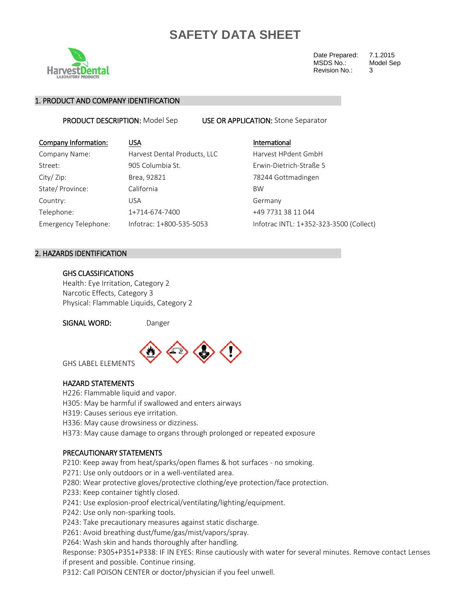

Date Prepared: 7.1.2015<br>MSDS No.: Model Sep MSDS No.: Revision No.: 3

### 1. PRODUCT AND COMPANY IDENTIFICATION

PRODUCT DESCRIPTION: Model Sep USE OR APPLICATION: Stone Separator

| Company Information: | <b>USA</b>                   | International                           |
|----------------------|------------------------------|-----------------------------------------|
| Company Name:        | Harvest Dental Products, LLC | Harvest HPdent GmbH                     |
| Street:              | 905 Columbia St.             | Erwin-Dietrich-Straße 5                 |
| City/ Zip:           | Brea, 92821                  | 78244 Gottmadingen                      |
| State/ Province:     | California                   | <b>BW</b>                               |
| Country:             | <b>USA</b>                   | Germany                                 |
| Telephone:           | 1+714-674-7400               | +49 7731 38 11 044                      |
| Emergency Telephone: | Infotrac: 1+800-535-5053     | Infotrac INTL: 1+352-323-3500 (Collect) |
|                      |                              |                                         |

### 2. HAZARDS IDENTIFICATION

### GHS CLASSIFICATIONS

Health: Eye Irritation, Category 2 Narcotic Effects, Category 3 Physical: Flammable Liquids, Category 2

SIGNAL WORD: Danger



GHS LABEL ELEMENTS

### HAZARD STATEMENTS

H226: Flammable liquid and vapor.

H305: May be harmful if swallowed and enters airways

H319: Causes serious eye irritation.

H336: May cause drowsiness or dizziness.

H373: May cause damage to organs through prolonged or repeated exposure

#### PRECAUTIONARY STATEMENTS

P210: Keep away from heat/sparks/open flames & hot surfaces - no smoking.

P271: Use only outdoors or in a well-ventilated area.

P280: Wear protective gloves/protective clothing/eye protection/face protection.

P233: Keep container tightly closed.

P241: Use explosion-proof electrical/ventilating/lighting/equipment.

P242: Use only non-sparking tools.

P243: Take precautionary measures against static discharge.

P261: Avoid breathing dust/fume/gas/mist/vapors/spray.

P264: Wash skin and hands thoroughly after handling.

Response: P305+P351+P338: IF IN EYES: Rinse cautiously with water for several minutes. Remove contact Lenses if present and possible. Continue rinsing.

P312: Call POISON CENTER or doctor/physician if you feel unwell.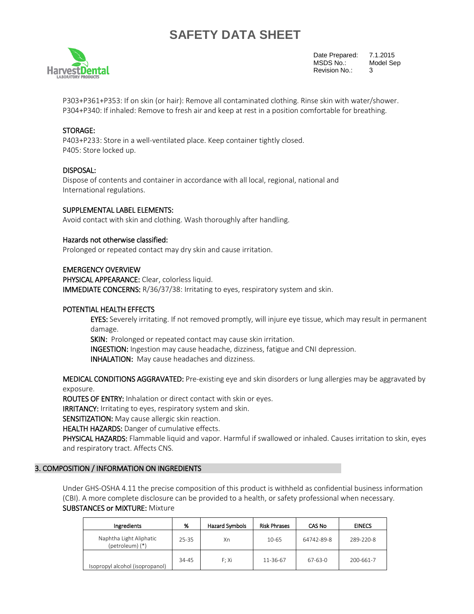

Date Prepared: 7.1.2015 MSDS No.: Model Sep Revision No.: 3

P303+P361+P353: If on skin (or hair): Remove all contaminated clothing. Rinse skin with water/shower. P304+P340: If inhaled: Remove to fresh air and keep at rest in a position comfortable for breathing.

### STORAGE:

P403+P233: Store in a well-ventilated place. Keep container tightly closed. P405: Store locked up.

### DISPOSAL:

Dispose of contents and container in accordance with all local, regional, national and International regulations.

### SUPPLEMENTAL LABEL ELEMENTS:

Avoid contact with skin and clothing. Wash thoroughly after handling.

### Hazards not otherwise classified:

Prolonged or repeated contact may dry skin and cause irritation.

### EMERGENCY OVERVIEW

PHYSICAL APPEARANCE: Clear, colorless liquid. IMMEDIATE CONCERNS: R/36/37/38: Irritating to eyes, respiratory system and skin.

### POTENTIAL HEALTH EFFECTS

EYES: Severely irritating. If not removed promptly, will injure eye tissue, which may result in permanent damage.

SKIN: Prolonged or repeated contact may cause skin irritation.

INGESTION: Ingestion may cause headache, dizziness, fatigue and CNI depression.

INHALATION: May cause headaches and dizziness.

MEDICAL CONDITIONS AGGRAVATED: Pre-existing eye and skin disorders or lung allergies may be aggravated by exposure.

ROUTES OF ENTRY: Inhalation or direct contact with skin or eyes.

IRRITANCY: Irritating to eyes, respiratory system and skin.

SENSITIZATION: May cause allergic skin reaction.

HEALTH HAZARDS: Danger of cumulative effects.

PHYSICAL HAZARDS: Flammable liquid and vapor. Harmful if swallowed or inhaled. Causes irritation to skin, eyes and respiratory tract. Affects CNS.

### 3. COMPOSITION / INFORMATION ON INGREDIENTS

Under GHS-OSHA 4.11 the precise composition of this product is withheld as confidential business information (CBI). A more complete disclosure can be provided to a health, or safety professional when necessary. SUBSTANCES or MIXTURE: Mixture

| Ingredients                                | %         | <b>Hazard Symbols</b> | <b>Risk Phrases</b> | <b>CAS No</b> | <b>EINECS</b> |
|--------------------------------------------|-----------|-----------------------|---------------------|---------------|---------------|
| Naphtha Light Aliphatic<br>(petroleum) (*) | $25 - 35$ | Xn                    | 10-65               | 64742-89-8    | 289-220-8     |
| Isopropyl alcohol (isopropanol)            | 34-45     | F: Xi                 | 11-36-67            | 67-63-0       | 200-661-7     |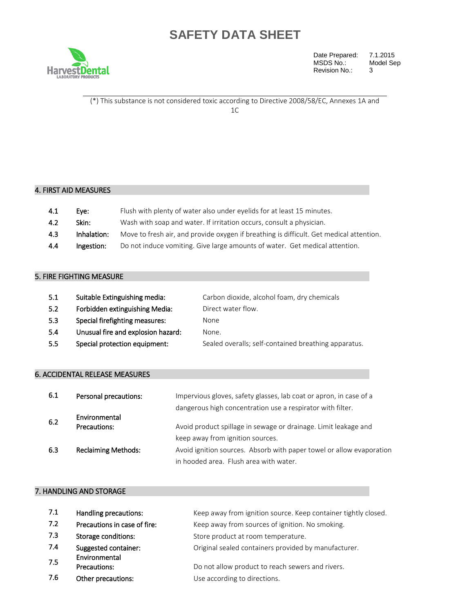

Date Prepared: 7.1.2015<br>MSDS No.: Model Sep MSDS No.: Model September 2014 Revision No.:

(\*) This substance is not considered toxic according to Directive 2008/58/EC, Annexes 1A and 1C

## 4. FIRST AID MEASURES

| 4.1 | Eve:        | Flush with plenty of water also under eyelids for at least 15 minutes.                  |
|-----|-------------|-----------------------------------------------------------------------------------------|
| 4.2 | Skin:       | Wash with soap and water. If irritation occurs, consult a physician.                    |
| 4.3 | Inhalation: | Move to fresh air, and provide oxygen if breathing is difficult. Get medical attention. |
| 4.4 | Ingestion:  | Do not induce vomiting. Give large amounts of water. Get medical attention.             |

### 5. FIRE FIGHTING MEASURE

| 5.1 | Suitable Extinguishing media:      | Carbon dioxide, alcohol foam, dry chemicals          |
|-----|------------------------------------|------------------------------------------------------|
| 5.2 | Forbidden extinguishing Media:     | Direct water flow.                                   |
| 5.3 | Special firefighting measures:     | None                                                 |
| 5.4 | Unusual fire and explosion hazard: | None.                                                |
| 5.5 | Special protection equipment:      | Sealed overalls; self-contained breathing apparatus. |

### 6. ACCIDENTAL RELEASE MEASURES

| 6.1 | Personal precautions:         | Impervious gloves, safety glasses, lab coat or apron, in case of a<br>dangerous high concentration use a respirator with filter. |
|-----|-------------------------------|----------------------------------------------------------------------------------------------------------------------------------|
| 6.2 | Environmental<br>Precautions: | Avoid product spillage in sewage or drainage. Limit leakage and                                                                  |
|     |                               | keep away from ignition sources.                                                                                                 |
| 6.3 | <b>Reclaiming Methods:</b>    | Avoid ignition sources. Absorb with paper towel or allow evaporation                                                             |
|     |                               | in hooded area. Flush area with water.                                                                                           |

## 7. HANDLING AND STORAGE

| 7.1 | Handling precautions:        | Keep away from ignition source. Keep container tightly closed. |
|-----|------------------------------|----------------------------------------------------------------|
| 7.2 | Precautions in case of fire: | Keep away from sources of ignition. No smoking.                |
| 7.3 | Storage conditions:          | Store product at room temperature.                             |
| 7.4 | Suggested container:         | Original sealed containers provided by manufacturer.           |
| 7.5 | Environmental                |                                                                |
|     | Precautions:                 | Do not allow product to reach sewers and rivers.               |
| 7.6 | Other precautions:           | Use according to directions.                                   |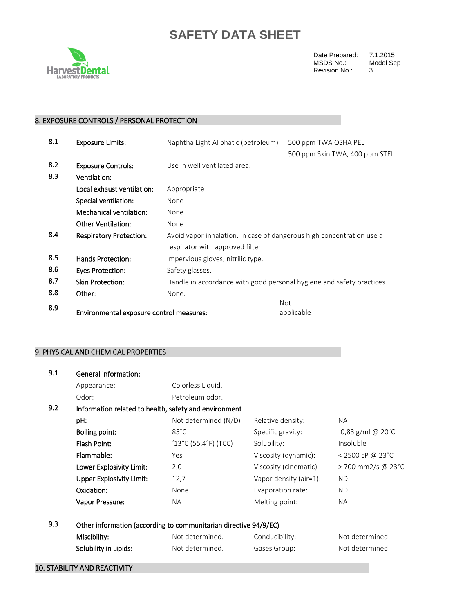

Date Prepared: 7.1.2015<br>MSDS No.: Model Sep MSDS No.: Model September 2014 Revision No.:

## 8. EXPOSURE CONTROLS / PERSONAL PROTECTION

| 8.1 | <b>Exposure Limits:</b>                  | Naphtha Light Aliphatic (petroleum)                                   | 500 ppm TWA OSHA PEL           |
|-----|------------------------------------------|-----------------------------------------------------------------------|--------------------------------|
|     |                                          |                                                                       | 500 ppm Skin TWA, 400 ppm STEL |
| 8.2 | <b>Exposure Controls:</b>                | Use in well ventilated area.                                          |                                |
| 8.3 | Ventilation:                             |                                                                       |                                |
|     | Local exhaust ventilation:               | Appropriate                                                           |                                |
|     | Special ventilation:                     | None                                                                  |                                |
|     | Mechanical ventilation:                  | None                                                                  |                                |
|     | <b>Other Ventilation:</b>                | None                                                                  |                                |
| 8.4 | <b>Respiratory Protection:</b>           | Avoid vapor inhalation. In case of dangerous high concentration use a |                                |
|     |                                          | respirator with approved filter.                                      |                                |
| 8.5 | Hands Protection:                        | Impervious gloves, nitrilic type.                                     |                                |
| 8.6 | <b>Eyes Protection:</b>                  | Safety glasses.                                                       |                                |
| 8.7 | <b>Skin Protection:</b>                  | Handle in accordance with good personal hygiene and safety practices. |                                |
| 8.8 | Other:                                   | None.                                                                 |                                |
| 8.9 |                                          |                                                                       | Not                            |
|     | Environmental exposure control measures: |                                                                       | applicable                     |

## 9. PHYSICAL AND CHEMICAL PROPERTIES

| 9.1 | <b>General information:</b>         |                                                                  |                        |                               |
|-----|-------------------------------------|------------------------------------------------------------------|------------------------|-------------------------------|
|     | Appearance:                         | Colorless Liquid.                                                |                        |                               |
|     | Odor:                               | Petroleum odor.                                                  |                        |                               |
| 9.2 |                                     | Information related to health, safety and environment            |                        |                               |
|     | pH:                                 | Not determined (N/D)                                             | Relative density:      | NA.                           |
|     | <b>Boiling point:</b>               | $85^{\circ}$ C                                                   | Specific gravity:      | $0,83$ g/ml @ 20 $^{\circ}$ C |
|     | <b>Flash Point:</b>                 | $(13^{\circ}C(55.4^{\circ}F)(TCC))$                              | Solubility:            | Insoluble                     |
|     | Flammable:                          | Yes                                                              | Viscosity (dynamic):   | < 2500 cP @ 23°C              |
|     | Lower Explosivity Limit:            | 2,0                                                              | Viscosity (cinematic)  | > 700 mm2/s @ 23°C            |
|     | <b>Upper Explosivity Limit:</b>     | 12,7                                                             | Vapor density (air=1): | <b>ND</b>                     |
|     | Oxidation:                          | None                                                             | Evaporation rate:      | ND.                           |
|     | Vapor Pressure:                     | <b>NA</b>                                                        | Melting point:         | NA.                           |
| 9.3 |                                     | Other information (according to communitarian directive 94/9/EC) |                        |                               |
|     | Miscibility:                        | Not determined.                                                  | Conducibility:         | Not determined.               |
|     | Solubility in Lipids:               | Not determined.                                                  | Gases Group:           | Not determined.               |
|     | <b>10. STABILITY AND REACTIVITY</b> |                                                                  |                        |                               |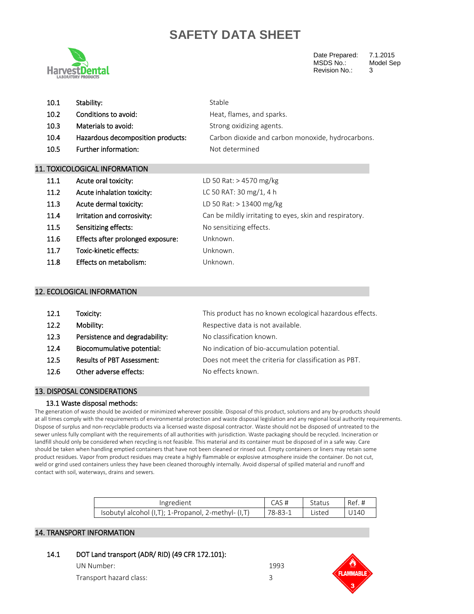

Date Prepared: 7.1.2015<br>MSDS No.: Model Se Revision No.: 3

Model Sep

| 10.1 | Stability:                        | Stable                                            |
|------|-----------------------------------|---------------------------------------------------|
| 10.2 | Conditions to avoid:              | Heat, flames, and sparks.                         |
| 10.3 | Materials to avoid:               | Strong oxidizing agents.                          |
| 10.4 | Hazardous decomposition products: | Carbon dioxide and carbon monoxide, hydrocarbons. |
| 10.5 | Further information:              | Not determined                                    |
|      |                                   |                                                   |

### 11. TOXICOLOGICAL INFORMATION

| 11.1 | Acute oral toxicity:              | LD 50 Rat: > 4570 mg/kg                                 |
|------|-----------------------------------|---------------------------------------------------------|
| 11.2 | Acute inhalation toxicity:        | LC 50 RAT: 30 mg/1, 4 h                                 |
| 11.3 | Acute dermal toxicity:            | LD 50 Rat: > 13400 mg/kg                                |
| 11.4 | Irritation and corrosivity:       | Can be mildly irritating to eyes, skin and respiratory. |
| 11.5 | Sensitizing effects:              | No sensitizing effects.                                 |
| 11.6 | Effects after prolonged exposure: | Unknown.                                                |
| 11.7 | Toxic-kinetic effects:            | Unknown.                                                |
| 11.8 | Effects on metabolism:            | Unknown.                                                |

#### 12. ECOLOGICAL INFORMATION

| 12.1 | Toxicity:                         | This product has no known ecological hazardous effects. |
|------|-----------------------------------|---------------------------------------------------------|
| 12.2 | Mobility:                         | Respective data is not available.                       |
| 12.3 | Persistence and degradability:    | No classification known.                                |
| 12.4 | Biocomumulative potential:        | No indication of bio-accumulation potential.            |
| 12.5 | <b>Results of PBT Assessment:</b> | Does not meet the criteria for classification as PBT.   |
| 12.6 | Other adverse effects:            | No effects known.                                       |
|      |                                   |                                                         |

#### 13. DISPOSAL CONSIDERATIONS

#### 13.1 Waste disposal methods:

The generation of waste should be avoided or minimized wherever possible. Disposal of this product, solutions and any by-products should at all times comply with the requirements of environmental protection and waste disposal legislation and any regional local authority requirements. Dispose of surplus and non-recyclable products via a licensed waste disposal contractor. Waste should not be disposed of untreated to the sewer unless fully compliant with the requirements of all authorities with jurisdiction. Waste packaging should be recycled. Incineration or landfill should only be considered when recycling is not feasible. This material and its container must be disposed of in a safe way. Care should be taken when handling emptied containers that have not been cleaned or rinsed out. Empty containers or liners may retain some product residues. Vapor from product residues may create a highly flammable or explosive atmosphere inside the container. Do not cut, weld or grind used containers unless they have been cleaned thoroughly internally. Avoid dispersal of spilled material and runoff and contact with soil, waterways, drains and sewers.

| Ingredient                                               |               | status | Ref  |
|----------------------------------------------------------|---------------|--------|------|
| Isobutyl alcohol $(I,T)$ ; 1-Propanol, 2-methyl- $(I,T)$ | $78 - 83 - 1$ | _isted | '14( |

### 14. TRANSPORT INFORMATION

14.1 DOT Land transport (ADR/ RID) (49 CFR 172.101):

| UN Number:              | 1993 |
|-------------------------|------|
| Transport hazard class: |      |

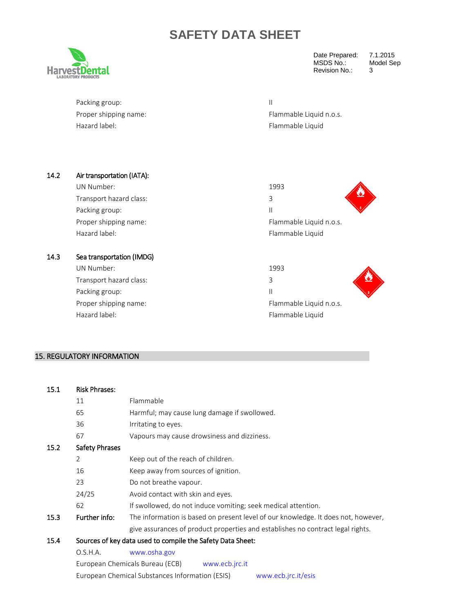

Date Prepared: 7.1.2015 MSDS No.: Model Sep Revision No.: 3

| Packing group:        |                         |
|-----------------------|-------------------------|
| Proper shipping name: | Flammable Liquid n.o.s. |
| Hazard label:         | Flammable Liquid        |

| 14.2 | Air transportation (IATA): |                         |
|------|----------------------------|-------------------------|
|      | UN Number:                 | 1993                    |
|      | Transport hazard class:    | 3                       |
|      | Packing group:             | $\mathsf{II}$           |
|      | Proper shipping name:      | Flammable Liquid n.o.s. |
|      | Hazard label:              | Flammable Liquid        |
|      |                            |                         |
| 14.3 | Sea transportation (IMDG)  |                         |
|      | UN Number:                 | 1993                    |
|      | Transport hazard class:    | 3                       |
|      | Packing group:             | $\mathsf{II}$           |
|      | Proper shipping name:      | Flammable Liquid n.o.s. |
|      | Hazard label:              | Flammable Liquid        |

### 15. REGULATORY INFORMATION

#### 15.1 Risk Phrases:

|      | 11                    | Flammable                                                                         |  |
|------|-----------------------|-----------------------------------------------------------------------------------|--|
|      | 65                    | Harmful; may cause lung damage if swollowed.                                      |  |
|      | 36                    | Irritating to eyes.                                                               |  |
|      | 67                    | Vapours may cause drowsiness and dizziness.                                       |  |
| 15.2 | <b>Safety Phrases</b> |                                                                                   |  |
|      | 2                     | Keep out of the reach of children.                                                |  |
|      | 16                    | Keep away from sources of ignition.                                               |  |
|      | 23                    | Do not breathe vapour.                                                            |  |
|      | 24/25                 | Avoid contact with skin and eyes.                                                 |  |
|      | 62                    | If swollowed, do not induce vomiting; seek medical attention.                     |  |
| 15.3 | Further info:         | The information is based on present level of our knowledge. It does not, however, |  |
|      |                       | give assurances of product properties and establishes no contract legal rights.   |  |
| 15.4 |                       | Sources of key data used to compile the Safety Data Sheet:                        |  |
|      | O.S.H.A.              | www.osha.gov                                                                      |  |
|      |                       | European Chemicals Bureau (ECB)<br>www.ecb.jrc.it                                 |  |
|      |                       | European Chemical Substances Information (ESIS)<br>www.ecb.jrc.it/esis            |  |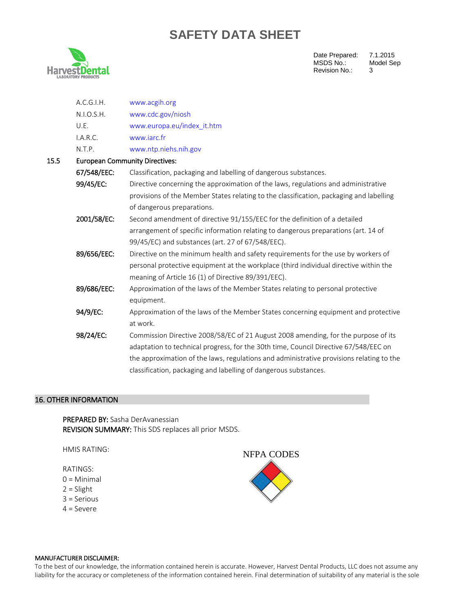

 $15.5$ 

Date Prepared: 7.1.2015<br>MSDS No.: Model Sep MSDS No.: M<br>Revision No.: 3 Revision No.:

| A.C.G.I.H.                            | www.acgih.org                                                                            |  |  |  |
|---------------------------------------|------------------------------------------------------------------------------------------|--|--|--|
| N.I.O.S.H.                            | www.cdc.gov/niosh                                                                        |  |  |  |
| U.E.                                  | www.europa.eu/index it.htm                                                               |  |  |  |
| I.A.R.C.                              | www.jarc.fr                                                                              |  |  |  |
| N.T.P.                                | www.ntp.niehs.nih.gov                                                                    |  |  |  |
| <b>European Community Directives:</b> |                                                                                          |  |  |  |
| 67/548/EEC:                           | Classification, packaging and labelling of dangerous substances.                         |  |  |  |
| 99/45/EC:                             | Directive concerning the approximation of the laws, regulations and administrative       |  |  |  |
|                                       | provisions of the Member States relating to the classification, packaging and labelling  |  |  |  |
|                                       | of dangerous preparations.                                                               |  |  |  |
| 2001/58/EC:                           | Second amendment of directive 91/155/EEC for the definition of a detailed                |  |  |  |
|                                       | arrangement of specific information relating to dangerous preparations (art. 14 of       |  |  |  |
|                                       | 99/45/EC) and substances (art. 27 of 67/548/EEC).                                        |  |  |  |
| 89/656/EEC:                           | Directive on the minimum health and safety requirements for the use by workers of        |  |  |  |
|                                       | personal protective equipment at the workplace (third individual directive within the    |  |  |  |
|                                       | meaning of Article 16 (1) of Directive 89/391/EEC).                                      |  |  |  |
| 89/686/EEC:                           | Approximation of the laws of the Member States relating to personal protective           |  |  |  |
|                                       | equipment.                                                                               |  |  |  |
| 94/9/EC:                              | Approximation of the laws of the Member States concerning equipment and protective       |  |  |  |
|                                       | at work.                                                                                 |  |  |  |
| 98/24/EC:                             | Commission Directive 2008/58/EC of 21 August 2008 amending, for the purpose of its       |  |  |  |
|                                       | adaptation to technical progress, for the 30th time, Council Directive 67/548/EEC on     |  |  |  |
|                                       | the approximation of the laws, regulations and administrative provisions relating to the |  |  |  |
|                                       | classification, packaging and labelling of dangerous substances.                         |  |  |  |

### 16. OTHER INFORMATION

PREPARED BY: Sasha DerAvanessian REVISION SUMMARY: This SDS replaces all prior MSDS.

HMIS RATING:

RATINGS:

- 0 = Minimal
- 2 = Slight
- 3 = Serious
- 4 = Severe



#### MANUFACTURER DISCLAIMER:

To the best of our knowledge, the information contained herein is accurate. However, Harvest Dental Products, LLC does not assume any liability for the accuracy or completeness of the information contained herein. Final determination of suitability of any material is the sole